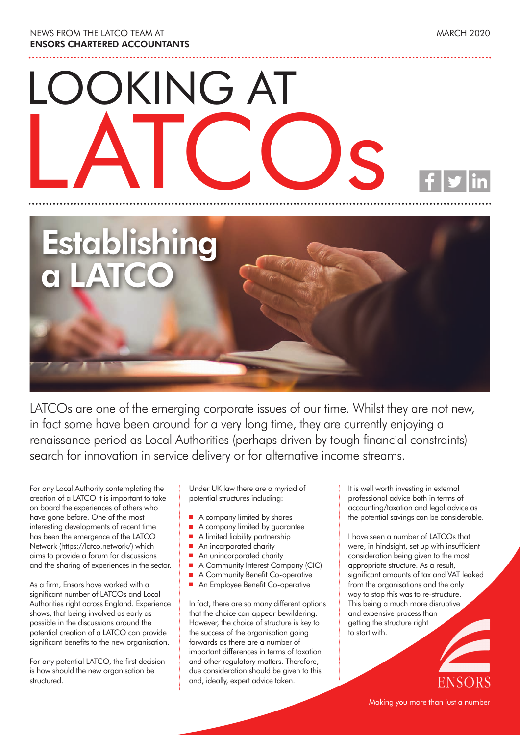NEWS FROM THE LATCO TEAM AT **ENSORS CHARTERED ACCOUNTANTS**

# LOOKING AT LATCOs



LATCOs are one of the emerging corporate issues of our time. Whilst they are not new, in fact some have been around for a very long time, they are currently enjoying a renaissance period as Local Authorities (perhaps driven by tough financial constraints) search for innovation in service delivery or for alternative income streams.

For any Local Authority contemplating the creation of a LATCO it is important to take on board the experiences of others who have gone before. One of the most interesting developments of recent time has been the emergence of the LATCO Network (https://latco.network/) which aims to provide a forum for discussions and the sharing of experiences in the sector.

As a firm, Ensors have worked with a significant number of LATCOs and Local Authorities right across England. Experience shows, that being involved as early as possible in the discussions around the potential creation of a LATCO can provide significant benefits to the new organisation.

For any potential LATCO, the first decision is how should the new organisation be structured.

Under UK law there are a myriad of potential structures including:

- $\blacksquare$  A company limited by shares
- A company limited by guarantee
- <sup>n</sup> A limited liability partnership
- An incorporated charity
- An unincorporated charity
- A Community Interest Company (CIC)
- A Community Benefit Co-operative
- An Employee Benefit Co-operative

In fact, there are so many different options that the choice can appear bewildering. However, the choice of structure is key to the success of the organisation going forwards as there are a number of important differences in terms of taxation and other regulatory matters. Therefore, due consideration should be given to this and, ideally, expert advice taken.

It is well worth investing in external professional advice both in terms of accounting/taxation and legal advice as the potential savings can be considerable.

I have seen a number of LATCOs that were, in hindsight, set up with insufficient consideration being given to the most appropriate structure. As a result, significant amounts of tax and VAT leaked from the organisations and the only way to stop this was to re-structure. This being a much more disruptive and expensive process than getting the structure right to start with.

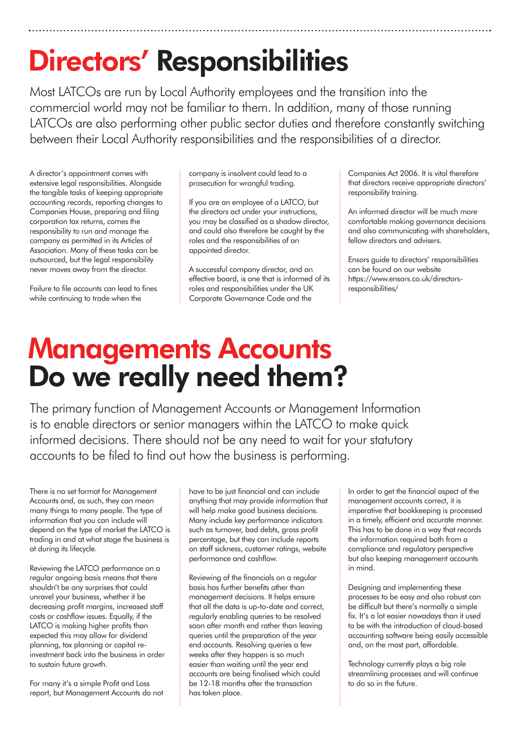## **Directors' Responsibilities**

Most LATCOs are run by Local Authority employees and the transition into the commercial world may not be familiar to them. In addition, many of those running LATCOs are also performing other public sector duties and therefore constantly switching between their Local Authority responsibilities and the responsibilities of a director.

A director's appointment comes with extensive legal responsibilities. Alongside the tangible tasks of keeping appropriate accounting records, reporting changes to Companies House, preparing and filing corporation tax returns, comes the responsibility to run and manage the company as permitted in its Articles of Association. Many of these tasks can be outsourced, but the legal responsibility never moves away from the director.

Failure to file accounts can lead to fines while continuing to trade when the

company is insolvent could lead to a prosecution for wrongful trading.

If you are an employee of a LATCO, but the directors act under your instructions, you may be classified as a shadow director, and could also therefore be caught by the roles and the responsibilities of an appointed director.

A successful company director, and an effective board, is one that is informed of its roles and responsibilities under the UK Corporate Governance Code and the

Companies Act 2006. It is vital therefore that directors receive appropriate directors' responsibility training.

An informed director will be much more comfortable making governance decisions and also communicating with shareholders, fellow directors and advisers.

Ensors guide to directors' responsibilities can be found on our website https://www.ensors.co.uk/directorsresponsibilities/

#### **Managements Accounts Do we really need them?**

The primary function of Management Accounts or Management Information is to enable directors or senior managers within the LATCO to make quick informed decisions. There should not be any need to wait for your statutory accounts to be filed to find out how the business is performing.

There is no set format for Management Accounts and, as such, they can mean many things to many people. The type of information that you can include will depend on the type of market the LATCO is trading in and at what stage the business is at during its lifecycle.

Reviewing the LATCO performance on a regular ongoing basis means that there shouldn't be any surprises that could unravel your business, whether it be decreasing profit margins, increased staff costs or cashflow issues. Equally, if the LATCO is making higher profits than expected this may allow for dividend planning, tax planning or capital reinvestment back into the business in order to sustain future growth.

For many it's a simple Profit and Loss report, but Management Accounts do not have to be just financial and can include anything that may provide information that will help make good business decisions. Many include key performance indicators such as turnover, bad debts, gross profit percentage, but they can include reports on staff sickness, customer ratings, website performance and cashflow.

Reviewing of the financials on a regular basis has further benefits other than management decisions. It helps ensure that all the data is up-to-date and correct, regularly enabling queries to be resolved soon after month end rather than leaving queries until the preparation of the year end accounts. Resolving queries a few weeks after they happen is so much easier than waiting until the year end accounts are being finalised which could be 12-18 months after the transaction has taken place.

In order to get the financial aspect of the management accounts correct, it is imperative that bookkeeping is processed in a timely, efficient and accurate manner. This has to be done in a way that records the information required both from a compliance and regulatory perspective but also keeping management accounts in mind.

Designing and implementing these processes to be easy and also robust can be difficult but there's normally a simple fix. It's a lot easier nowadays than it used to be with the introduction of cloud-based accounting software being easily accessible and, on the most part, affordable.

Technology currently plays a big role streamlining processes and will continue to do so in the future.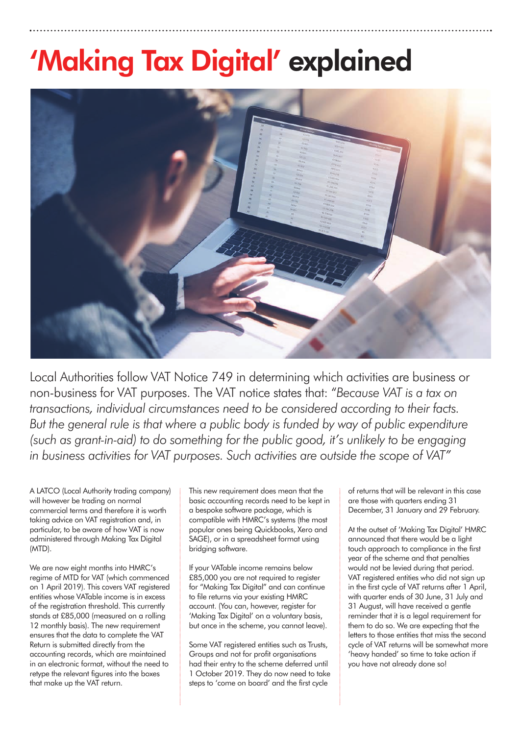### **'Making Tax Digital' explained**



Local Authorities follow VAT Notice 749 in determining which activities are business or non-business for VAT purposes. The VAT notice states that: "*Because VAT is a tax on transactions, individual circumstances need to be considered according to their facts. But the general rule is that where a public body is funded by way of public expenditure (such as grant-in-aid) to do something for the public good, it's unlikely to be engaging in business activities for VAT purposes. Such activities are outside the scope of VAT"*

A LATCO (Local Authority trading company) will however be trading on normal commercial terms and therefore it is worth taking advice on VAT registration and, in particular, to be aware of how VAT is now administered through Making Tax Digital (MTD).

We are now eight months into HMRC's regime of MTD for VAT (which commenced on 1 April 2019). This covers VAT registered entities whose VATable income is in excess of the registration threshold. This currently stands at £85,000 (measured on a rolling 12 monthly basis). The new requirement ensures that the data to complete the VAT Return is submitted directly from the accounting records, which are maintained in an electronic format, without the need to retype the relevant figures into the boxes that make up the VAT return.

This new requirement does mean that the basic accounting records need to be kept in a bespoke software package, which is compatible with HMRC's systems (the most popular ones being Quickbooks, Xero and SAGE), or in a spreadsheet format using bridging software.

If your VATable income remains below £85,000 you are not required to register for "Making Tax Digital" and can continue to file returns via your existing HMRC account. (You can, however, register for 'Making Tax Digital' on a voluntary basis, but once in the scheme, you cannot leave).

Some VAT registered entities such as Trusts, Groups and not for profit organisations had their entry to the scheme deferred until 1 October 2019. They do now need to take steps to 'come on board' and the first cycle

of returns that will be relevant in this case are those with quarters ending 31 December, 31 January and 29 February.

At the outset of 'Making Tax Digital' HMRC announced that there would be a light touch approach to compliance in the first year of the scheme and that penalties would not be levied during that period. VAT registered entities who did not sign up in the first cycle of VAT returns after 1 April, with quarter ends of 30 June, 31 July and 31 August, will have received a gentle reminder that it is a legal requirement for them to do so. We are expecting that the letters to those entities that miss the second cycle of VAT returns will be somewhat more 'heavy handed' so time to take action if you have not already done so!